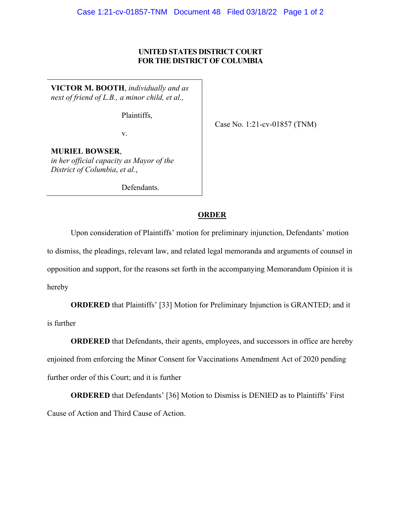## **UNITED STATES DISTRICT COURT FOR THE DISTRICT OF COLUMBIA**

**VICTOR M. BOOTH**, *individually and as next of friend of L.B., a minor child, et al.,*

Plaintiffs,

v.

Case No. 1:21-cv-01857 (TNM)

**MURIEL BOWSER**, *in her official capacity as Mayor of the District of Columbia*, *et al.*,

Defendants.

## **ORDER**

Upon consideration of Plaintiffs' motion for preliminary injunction, Defendants' motion to dismiss, the pleadings, relevant law, and related legal memoranda and arguments of counsel in opposition and support, for the reasons set forth in the accompanying Memorandum Opinion it is hereby

**ORDERED** that Plaintiffs' [33] Motion for Preliminary Injunction is GRANTED; and it is further

**ORDERED** that Defendants, their agents, employees, and successors in office are hereby enjoined from enforcing the Minor Consent for Vaccinations Amendment Act of 2020 pending further order of this Court; and it is further

**ORDERED** that Defendants' [36] Motion to Dismiss is DENIED as to Plaintiffs' First Cause of Action and Third Cause of Action.